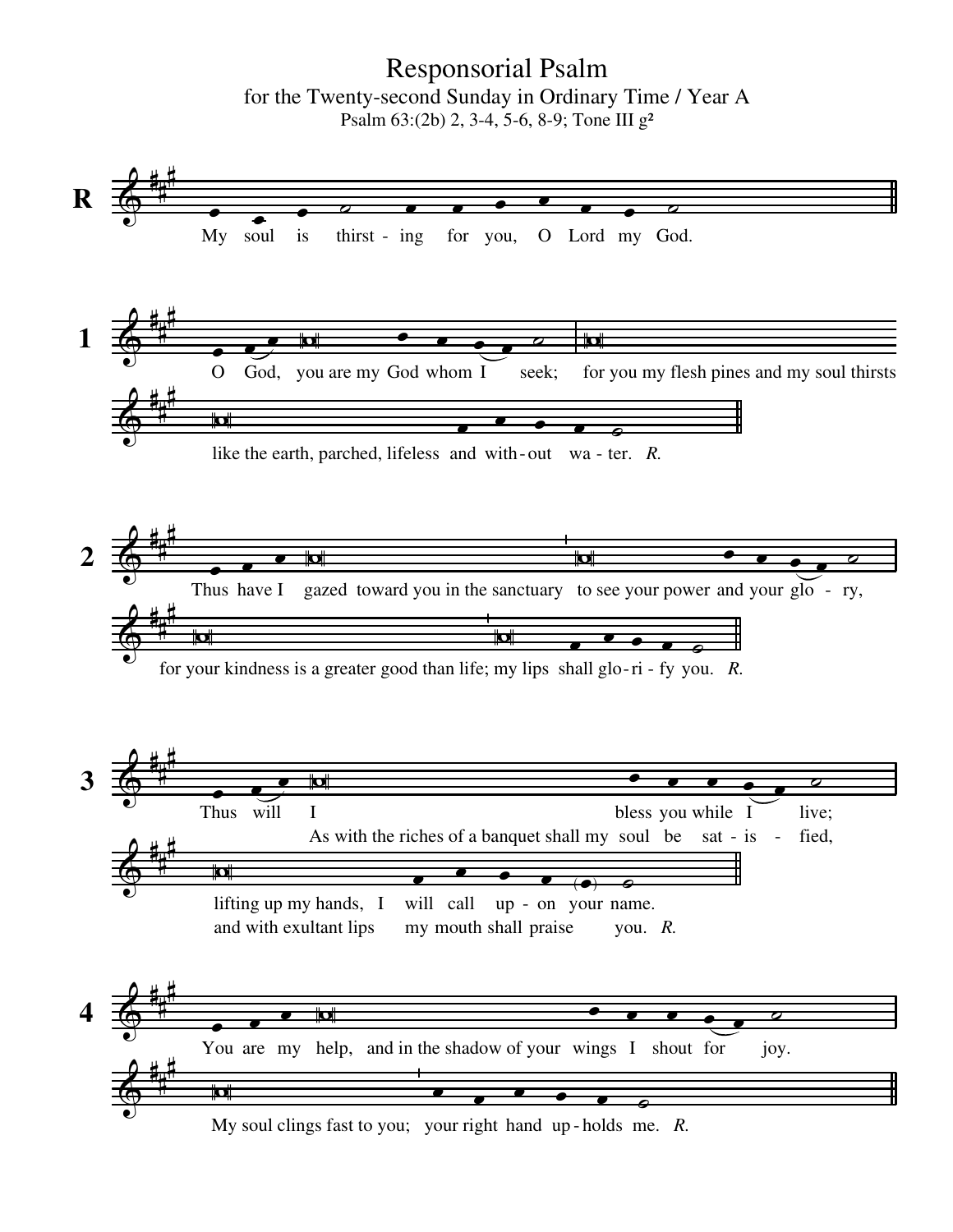Responsorial Psalm for the Twenty-second Sunday in Ordinary Time / Year A Psalm 63:(2b) 2, 3-4, 5-6, 8-9; Tone III g²